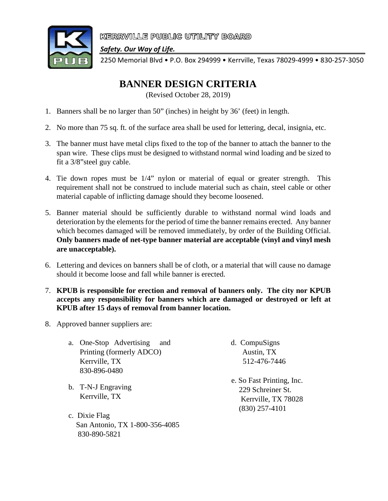

KERRVILLE PUBLIC UTILITY BOARD

*Safety. Our Way of Life.*

2250 Memorial Blvd • P.O. Box 294999 • Kerrville, Texas 78029-4999 • 830-257-3050

## **BANNER DESIGN CRITERIA**

(Revised October 28, 2019)

- 1. Banners shall be no larger than 50" (inches) in height by 36' (feet) in length.
- 2. No more than 75 sq. ft. of the surface area shall be used for lettering, decal, insignia, etc.
- 3. The banner must have metal clips fixed to the top of the banner to attach the banner to the span wire. These clips must be designed to withstand normal wind loading and be sized to fit a 3/8"steel guy cable.
- 4. Tie down ropes must be 1/4" nylon or material of equal or greater strength. This requirement shall not be construed to include material such as chain, steel cable or other material capable of inflicting damage should they become loosened.
- 5. Banner material should be sufficiently durable to withstand normal wind loads and deterioration by the elements for the period of time the banner remains erected. Any banner which becomes damaged will be removed immediately, by order of the Building Official. **Only banners made of net-type banner material are acceptable (vinyl and vinyl mesh are unacceptable).**
- 6. Lettering and devices on banners shall be of cloth, or a material that will cause no damage should it become loose and fall while banner is erected.
- 7. **KPUB is responsible for erection and removal of banners only. The city nor KPUB accepts any responsibility for banners which are damaged or destroyed or left at KPUB after 15 days of removal from banner location.**
- 8. Approved banner suppliers are:
	- a. One-Stop Advertising and Printing (formerly ADCO) Kerrville, TX 830-896-0480
	- b. T-N-J Engraving Kerrville, TX
	- c. Dixie Flag San Antonio, TX 1-800-356-4085 830-890-5821
- d. CompuSigns Austin, TX 512-476-7446
- e. So Fast Printing, Inc. 229 Schreiner St. Kerrville, TX 78028 (830) 257-4101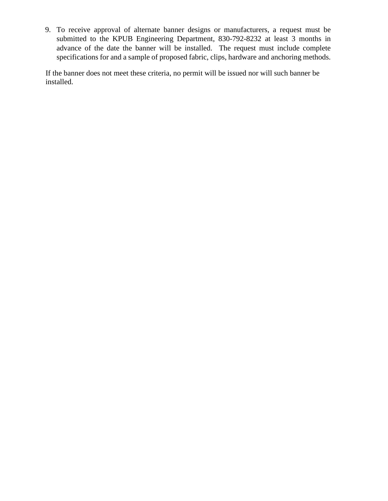9. To receive approval of alternate banner designs or manufacturers, a request must be submitted to the KPUB Engineering Department, 830-792-8232 at least 3 months in advance of the date the banner will be installed. The request must include complete specifications for and a sample of proposed fabric, clips, hardware and anchoring methods.

If the banner does not meet these criteria, no permit will be issued nor will such banner be installed.